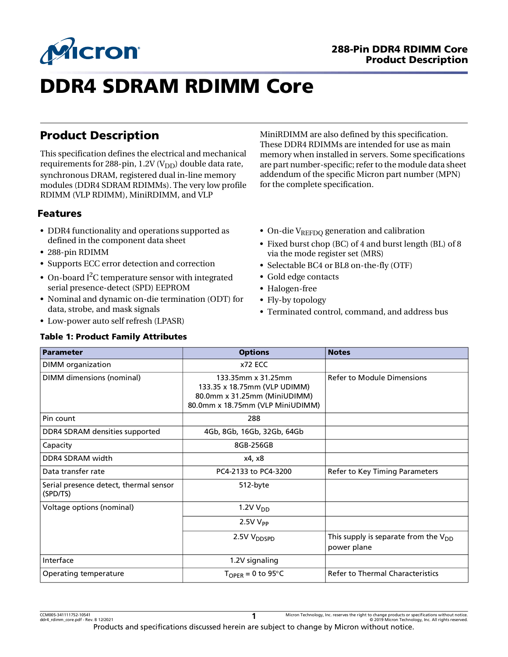

# 288-Pin DDR4 RDIMM Core Product Description

# DDR4 SDRAM RDIMM Core

# Product Description

This specification defines the electrical and mechanical requirements for 288-pin, 1.2V ( $V_{DD}$ ) double data rate, synchronous DRAM, registered dual in-line memory modules (DDR4 SDRAM RDIMMs). The very low profile RDIMM (VLP RDIMM), MiniRDIMM, and VLP

# Features

- DDR4 functionality and operations supported as defined in the component data sheet
- 288-pin RDIMM
- Supports ECC error detection and correction
- On-board I<sup>2</sup>C temperature sensor with integrated serial presence-detect (SPD) EEPROM
- Nominal and dynamic on-die termination (ODT) for data, strobe, and mask signals
- Low-power auto self refresh (LPASR)

#### Table 1: Product Family Attributes

MiniRDIMM are also defined by this specification. These DDR4 RDIMMs are intended for use as main memory when installed in servers. Some specifications are part number-specific; refer to the module data sheet addendum of the specific Micron part number (MPN) for the complete specification.

- On-die  $V_{REFDO}$  generation and calibration
- Fixed burst chop (BC) of 4 and burst length (BL) of 8 via the mode register set (MRS)
- Selectable BC4 or BL8 on-the-fly (OTF)
- Gold edge contacts
- Halogen-free
- Fly-by topology
- Terminated control, command, and address bus

| <b>Parameter</b>                                   | <b>Options</b>                                                                                                         | <b>Notes</b>                                             |
|----------------------------------------------------|------------------------------------------------------------------------------------------------------------------------|----------------------------------------------------------|
| <b>DIMM</b> organization                           | $x72$ ECC                                                                                                              |                                                          |
| DIMM dimensions (nominal)                          | 133.35mm x 31.25mm<br>133.35 x 18.75mm (VLP UDIMM)<br>80.0mm x 31.25mm (MiniUDIMM)<br>80.0mm x 18.75mm (VLP MiniUDIMM) | Refer to Module Dimensions                               |
| Pin count                                          | 288                                                                                                                    |                                                          |
| DDR4 SDRAM densities supported                     | 4Gb, 8Gb, 16Gb, 32Gb, 64Gb                                                                                             |                                                          |
| Capacity                                           | 8GB-256GB                                                                                                              |                                                          |
| DDR4 SDRAM width                                   | x4, x8                                                                                                                 |                                                          |
| Data transfer rate                                 | PC4-2133 to PC4-3200                                                                                                   | Refer to Key Timing Parameters                           |
| Serial presence detect, thermal sensor<br>(SPD/TS) | 512-byte                                                                                                               |                                                          |
| Voltage options (nominal)                          | 1.2V V <sub>DD</sub>                                                                                                   |                                                          |
|                                                    | $2.5VV_{PP}$                                                                                                           |                                                          |
|                                                    | 2.5V V <sub>DDSPD</sub>                                                                                                | This supply is separate from the $V_{DD}$<br>power plane |
| Interface                                          | 1.2V signaling                                                                                                         |                                                          |
| Operating temperature                              | $T_{\text{OPER}} = 0$ to 95°C                                                                                          | <b>Refer to Thermal Characteristics</b>                  |

CCM005-341111752-10541 Micron Technology, Inc. reserves the right to change products or specifications without notice.<br>Micron Technology, Inc. All rights reserved.<br>Compare the reversion of the compare of the compare of t Products and specifications discussed herein are subject to change by Micron without notice. **1**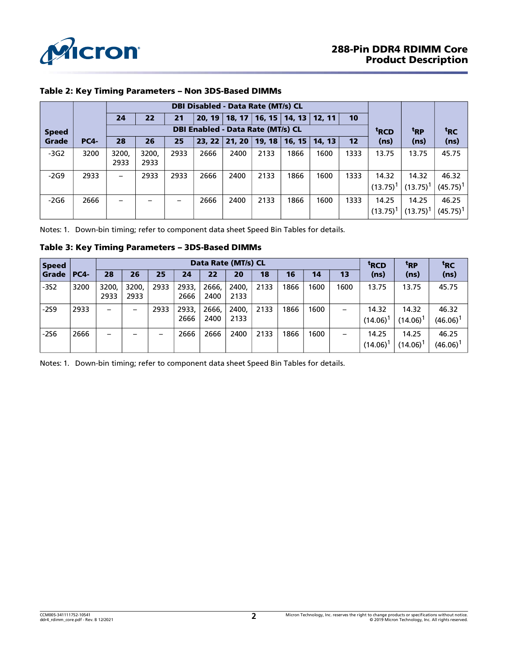

|              |             |                          |               | <b>DBI Disabled - Data Rate (MT/s) CL</b> |      |                                            |                 |                 |        |      |                        |                      |                      |
|--------------|-------------|--------------------------|---------------|-------------------------------------------|------|--------------------------------------------|-----------------|-----------------|--------|------|------------------------|----------------------|----------------------|
|              |             | 24                       | 22            | 21                                        |      | 20, 19   18, 17   16, 15   14, 13   12, 11 |                 |                 |        | 10   |                        |                      |                      |
| <b>Speed</b> |             |                          |               | <b>DBI Enabled - Data Rate (MT/s) CL</b>  |      | <sup>t</sup> RCD                           | <sup>t</sup> RP | <sup>t</sup> RC |        |      |                        |                      |                      |
| Grade        | <b>PC4-</b> | 28                       | 26            | 25                                        |      | 23, 22   21, 20   19, 18                   |                 | 16, 15          | 14, 13 | 12   | (ns)                   | (ns)                 | (ns)                 |
| $-3G2$       | 3200        | 3200,<br>2933            | 3200,<br>2933 | 2933                                      | 2666 | 2400                                       | 2133            | 1866            | 1600   | 1333 | 13.75                  | 13.75                | 45.75                |
| $-2G9$       | 2933        | $\overline{\phantom{0}}$ | 2933          | 2933                                      | 2666 | 2400                                       | 2133            | 1866            | 1600   | 1333 | 14.32<br>$(13.75)^1$   | 14.32<br>$(13.75)^1$ | 46.32<br>$(45.75)^1$ |
| $-2G6$       | 2666        |                          |               |                                           | 2666 | 2400                                       | 2133            | 1866            | 1600   | 1333 | 14.25<br>$(13.75)^{1}$ | 14.25<br>$(13.75)^1$ | 46.25<br>$(45.75)^1$ |

### Table 2: Key Timing Parameters – Non 3DS-Based DIMMs

Notes: 1. Down-bin timing; refer to component data sheet Speed Bin Tables for details.

#### Table 3: Key Timing Parameters – 3DS-Based DIMMs

| <b>Speed</b>      |      |               |               |      | Data Rate (MT/s) CL |               | <sup>t</sup> RCD | <sup>t</sup> RP | <sup>t</sup> RC |      |      |                        |                               |                      |
|-------------------|------|---------------|---------------|------|---------------------|---------------|------------------|-----------------|-----------------|------|------|------------------------|-------------------------------|----------------------|
| <b>Grade PC4-</b> |      | 28            | 26            | 25   | 24                  | 22            | 20               | 18              | 16              | 14   | 13   | (ns)                   | (ns)                          | (ns)                 |
| $-352$            | 3200 | 3200.<br>2933 | 3200,<br>2933 | 2933 | 2933,<br>2666       | 2666,<br>2400 | 2400,<br>2133    | 2133            | 1866            | 1600 | 1600 | 13.75                  | 13.75                         | 45.75                |
| $-259$            | 2933 | -             |               | 2933 | 2933,<br>2666       | 2666,<br>2400 | 2400,<br>2133    | 2133            | 1866            | 1600 | —    | 14.32<br>$(14.06)^{1}$ | 14.32<br>$(14.06)^{1}$        | 46.32<br>(46.06)     |
| $-256$            | 2666 | –             |               |      | 2666                | 2666          | 2400             | 2133            | 1866            | 1600 | —    | 14.25<br>$(14.06)^{1}$ | 14.25<br>(14.06) <sup>1</sup> | 46.25<br>$(46.06)^1$ |

Notes: 1. Down-bin timing; refer to component data sheet Speed Bin Tables for details.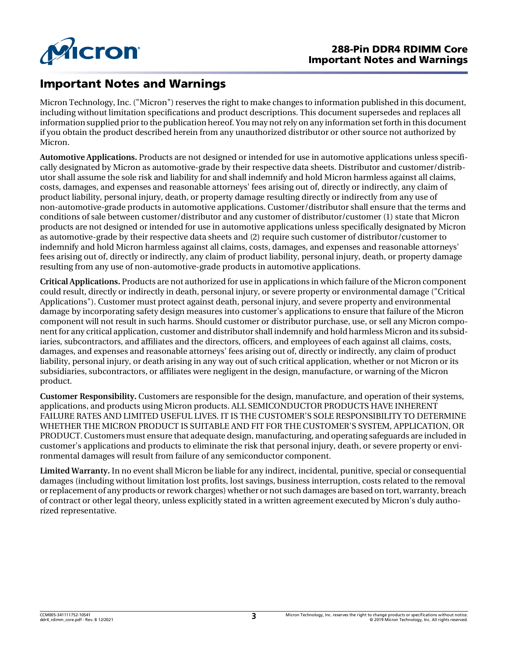

# Important Notes and Warnings

Micron Technology, Inc. ("Micron") reserves the right to make changes to information published in this document, including without limitation specifications and product descriptions. This document supersedes and replaces all information supplied prior to the publication hereof. You may not rely on any information set forth in this document if you obtain the product described herein from any unauthorized distributor or other source not authorized by Micron.

**Automotive Applications.** Products are not designed or intended for use in automotive applications unless specifically designated by Micron as automotive-grade by their respective data sheets. Distributor and customer/distributor shall assume the sole risk and liability for and shall indemnify and hold Micron harmless against all claims, costs, damages, and expenses and reasonable attorneys' fees arising out of, directly or indirectly, any claim of product liability, personal injury, death, or property damage resulting directly or indirectly from any use of non-automotive-grade products in automotive applications. Customer/distributor shall ensure that the terms and conditions of sale between customer/distributor and any customer of distributor/customer (1) state that Micron products are not designed or intended for use in automotive applications unless specifically designated by Micron as automotive-grade by their respective data sheets and (2) require such customer of distributor/customer to indemnify and hold Micron harmless against all claims, costs, damages, and expenses and reasonable attorneys' fees arising out of, directly or indirectly, any claim of product liability, personal injury, death, or property damage resulting from any use of non-automotive-grade products in automotive applications.

**Critical Applications.** Products are not authorized for use in applications in which failure of the Micron component could result, directly or indirectly in death, personal injury, or severe property or environmental damage ("Critical Applications"). Customer must protect against death, personal injury, and severe property and environmental damage by incorporating safety design measures into customer's applications to ensure that failure of the Micron component will not result in such harms. Should customer or distributor purchase, use, or sell any Micron component for any critical application, customer and distributor shall indemnify and hold harmless Micron and its subsidiaries, subcontractors, and affiliates and the directors, officers, and employees of each against all claims, costs, damages, and expenses and reasonable attorneys' fees arising out of, directly or indirectly, any claim of product liability, personal injury, or death arising in any way out of such critical application, whether or not Micron or its subsidiaries, subcontractors, or affiliates were negligent in the design, manufacture, or warning of the Micron product.

**Customer Responsibility.** Customers are responsible for the design, manufacture, and operation of their systems, applications, and products using Micron products. ALL SEMICONDUCTOR PRODUCTS HAVE INHERENT FAILURE RATES AND LIMITED USEFUL LIVES. IT IS THE CUSTOMER'S SOLE RESPONSIBILITY TO DETERMINE WHETHER THE MICRON PRODUCT IS SUITABLE AND FIT FOR THE CUSTOMER'S SYSTEM, APPLICATION, OR PRODUCT.Customers must ensure that adequate design, manufacturing, and operating safeguards are included in customer's applications and products to eliminate the risk that personal injury, death, or severe property or environmental damages will result from failure of any semiconductor component.

**Limited Warranty.** In no event shall Micron be liable for any indirect, incidental, punitive, special or consequential damages (including without limitation lost profits, lost savings, business interruption, costs related to the removal orreplacement of any products orrework charges) whether or not such damages are based on tort, warranty, breach of contract or other legal theory, unless explicitly stated in a written agreement executed by Micron's duly authorized representative.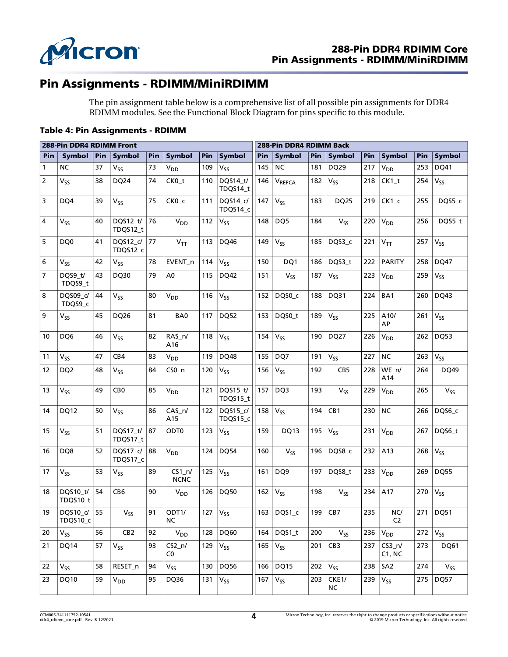

# Pin Assignments - RDIMM/MiniRDIMM

The pin assignment table below is a comprehensive list of all possible pin assignments for DDR4 RDIMM modules. See the Functional Block Diagram for pins specific to this module.

#### Table 4: Pin Assignments - RDIMM

|     | 288-Pin DDR4 RDIMM Front |     |                      |     |                         |                           |                      | 288-Pin DDR4 RDIMM Back |                               |     |                    |              |                       |     |              |
|-----|--------------------------|-----|----------------------|-----|-------------------------|---------------------------|----------------------|-------------------------|-------------------------------|-----|--------------------|--------------|-----------------------|-----|--------------|
| Pin | Symbol                   | Pin | <b>Symbol</b>        | Pin | <b>Symbol</b>           | Pin                       | <b>Symbol</b>        | Pin                     | <b>Symbol</b>                 | Pin | <b>Symbol</b>      | Pin          | Symbol                | Pin | Symbol       |
| 1   | <b>NC</b>                | 37  | V <sub>SS</sub>      | 73  | V <sub>DD</sub>         | 109                       | $V_{SS}$             | 145                     | <b>NC</b>                     | 181 | DQ29               | 217          | <b>V<sub>DD</sub></b> | 253 | DQ41         |
| 2   | $V_{SS}$                 | 38  | DQ24                 | 74  | CK0_t                   | 110                       | DQS14 t/<br>TDQS14_t | 146                     | $\mathsf{V}_{\mathsf{REFCA}}$ | 182 | $V_{SS}$           | 218          | $CK1_t$               | 254 | $V_{SS}$     |
| 3   | DQ4                      | 39  | $V_{SS}$             | 75  | CK <sub>0_c</sub>       | 111                       | DQS14_c/<br>TDQS14_c | 147                     | V <sub>SS</sub>               | 183 | <b>DQ25</b>        | 219          | $CK1_c$               | 255 | DQS5_c       |
| 4   | $V_{SS}$                 | 40  | DQS12_t/<br>TDQS12_t | 76  | V <sub>DD</sub>         | 112                       | $V_{SS}$             | 148                     | DQ5                           | 184 | $V_{SS}$           | 220          | $V_{DD}$              | 256 | DQS5_t       |
| 5   | DQ0                      | 41  | DQS12 c/<br>TDQS12 c | 77  | $V_{TT}$                | 113                       | <b>DQ46</b>          | 149                     | $V_{SS}$                      | 185 | DQS3_c             | 221          | $V_{TT}$              | 257 | $V_{SS}$     |
| 6   | $V_{SS}$                 | 42  | $V_{SS}$             | 78  | EVENT_n                 | 114                       | $V_{SS}$             | 150                     | DQ1                           | 186 | DQS3_t             | 222          | <b>PARITY</b>         | 258 | <b>DQ47</b>  |
| 7   | DQS9_t/<br>TDQS9_t       | 43  | DQ30                 | 79  | A <sub>0</sub>          | 115                       | DQ42                 | 151                     | $V_{SS}$                      | 187 | $V_{SS}$           | 223          | $V_{DD}$              | 259 | $V_{SS}$     |
| 8   | DQS09_c/<br>TDQS9_c      | 44  | $V_{SS}$             | 80  | V <sub>DD</sub>         | 116                       | $V_{SS}$             | 152                     | DQS0_c                        | 188 | DQ31               | 224          | BA1                   | 260 | DQ43         |
| 9   | $V_{SS}$                 | 45  | DQ26                 | 81  | BA0                     | 117                       | <b>DQ52</b>          | 153                     | DQS0_t                        | 189 | $V_{SS}$           | 225          | A10/<br>AP            | 261 | $V_{SS}$     |
| 10  | DQ6                      | 46  | $V_{SS}$             | 82  | RAS_n/<br>A16           | 118                       | V <sub>SS</sub>      | 154                     | $V_{SS}$                      | 190 | DQ27               | 226          | <b>V<sub>DD</sub></b> | 262 | DQ53         |
| 11  | $V_{SS}$                 | 47  | CB4                  | 83  | V <sub>DD</sub>         | 119                       | <b>DQ48</b>          | 155                     | DQ7                           | 191 | $V_{SS}$           | 227          | <b>NC</b>             | 263 | $V_{SS}$     |
| 12  | DQ <sub>2</sub>          | 48  | $V_{SS}$             | 84  | $CSO_n$                 | 120                       | $V_{SS}$             | 156                     | $V_{SS}$                      | 192 | CB5                | 228          | WE n/<br>A14          | 264 | DQ49         |
| 13  | $\rm V_{SS}$             | 49  | CB <sub>0</sub>      | 85  | V <sub>DD</sub>         | 121                       | DQS15_t/<br>TDQS15_t | 157                     | DQ3                           | 193 | $V_{SS}$           | 229          | V <sub>DD</sub>       | 265 | $V_{SS}$     |
| 14  | DQ12                     | 50  | V <sub>SS</sub>      | 86  | $CAS_n/$<br>A15         | 122                       | DQS15_c/<br>TDQS15_c | 158                     | V <sub>SS</sub>               | 194 | CB1                | 230          | <b>NC</b>             | 266 | DQS6_c       |
| 15  | $V_{SS}$                 | 51  | DQS17 t/<br>TDQS17_t | 87  | ODT0                    | 123                       | $V_{SS}$             | 159                     | DQ13                          | 195 | $\rm V_{SS}$       | 231          | $V_{DD}$              | 267 | DQS6_t       |
| 16  | DQ8                      | 52  | DQS17_c/<br>TDQS17_c | 88  | V <sub>DD</sub>         | 124                       | <b>DQ54</b>          | 160                     | $V_{SS}$                      | 196 | DQS8_c             | 232          | A13                   | 268 | $V_{SS}$     |
| 17  | $V_{SS}$                 | 53  | V <sub>SS</sub>      | 89  | $CS1_n/$<br><b>NCNC</b> | 125                       | V <sub>SS</sub>      | 161                     | DQ <sub>9</sub>               | 197 | DQS8_t             | 233          | <b>V<sub>DD</sub></b> | 269 | DQ55         |
| 18  | DQS10_t/<br>TDQS10_t     | 54  | CB <sub>6</sub>      | 90  | V <sub>DD</sub>         | 126                       | <b>DQ50</b>          | 162                     | $V_{SS}$                      | 198 | $V_{SS}$           | 234          | A17                   | 270 | $\rm V_{SS}$ |
| 19  | DQS10_c/ 55<br>TDQS10_c  |     | $V_{SS}$             | 91  | ODT1/<br><b>NC</b>      | $\overline{127}$ $V_{SS}$ |                      |                         | $163$ DQS1_c                  | 199 | CB7                | 235          | NC/<br>C <sub>2</sub> | 271 | DQ51         |
| 20  | $V_{SS}$                 | 56  | CB2                  | 92  | $V_{DD}$                |                           | 128 DQ60             | 164                     | DQS1_t                        | 200 | $V_{SS}$           | 236          | $V_{DD}$              | 272 | $V_{SS}$     |
| 21  | DQ14                     | 57  | $V_{SS}$             | 93  | $CS2_n/$<br>C0          | 129 $V_{SS}$              |                      | $165$ $V_{SS}$          |                               | 201 | CB3                | 237          | $CS3_n/$<br>C1, NC    | 273 | <b>DQ61</b>  |
| 22  | $V_{SS}$                 | 58  | RESET_n              | 94  | $V_{SS}$                |                           | 130 DQ56             |                         | 166 DQ15                      | 202 | $V_{SS}$           |              | 238 $SA2$             | 274 | $V_{SS}$     |
| 23  | DQ10                     | 59  | $V_{DD}$             | 95  | DQ36                    | 131 $V_{SS}$              |                      | $167$ $V_{SS}$          |                               | 203 | CKE1/<br><b>NC</b> | 239 $V_{SS}$ |                       | 275 | DQ57         |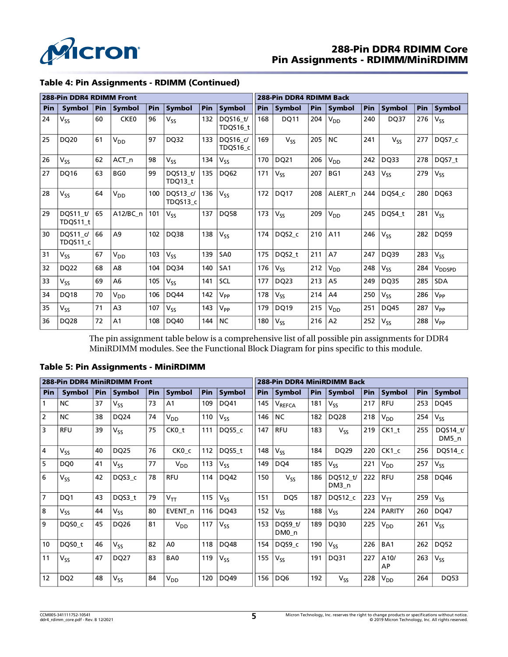

# 288-Pin DDR4 RDIMM Core Pin Assignments - RDIMM/MiniRDIMM

|  |  | Table 4: Pin Assignments - RDIMM (Continued) |
|--|--|----------------------------------------------|
|  |  |                                              |

|     | 288-Pin DDR4 RDIMM Front |     |                  |     |                      |     |                            |     | 288-Pin DDR4 RDIMM Back |            |                       |     |               |     |                    |  |
|-----|--------------------------|-----|------------------|-----|----------------------|-----|----------------------------|-----|-------------------------|------------|-----------------------|-----|---------------|-----|--------------------|--|
| Pin | <b>Symbol</b>            | Pin | <b>Symbol</b>    | Pin | Symbol               | Pin | Symbol                     | Pin | <b>Symbol</b>           | <b>Pin</b> | <b>Symbol</b>         | Pin | <b>Symbol</b> | Pin | Symbol             |  |
| 24  | $V_{SS}$                 | 60  | CKE0             | 96  | V <sub>SS</sub>      | 132 | DQS16 t/<br>TDQS16_t       | 168 | DQ11                    | 204        | <b>V<sub>DD</sub></b> | 240 | <b>DQ37</b>   | 276 | $V_{SS}$           |  |
| 25  | DQ20                     | 61  | $V_{DD}$         | 97  | DQ32                 | 133 | DQS16 c/<br>TDQS16_c       | 169 | $V_{SS}$                | 205        | <b>NC</b>             | 241 | $V_{SS}$      | 277 | DQS7_c             |  |
| 26  | $V_{SS}$                 | 62  | ACT <sub>n</sub> | 98  | V <sub>SS</sub>      | 134 | $V_{SS}$                   | 170 | DQ21                    | 206        | V <sub>DD</sub>       | 242 | DQ33          | 278 | DQS7_t             |  |
| 27  | DQ16                     | 63  | BG <sub>0</sub>  | 99  | DQS13 t/<br>TDQ13 t  | 135 | DO62                       | 171 | $V_{SS}$                | 207        | BG1                   | 243 | $V_{SS}$      | 279 | $V_{SS}$           |  |
| 28  | $V_{SS}$                 | 64  | V <sub>DD</sub>  | 100 | DOS13 c/<br>TDQS13 c | 136 | V <sub>SS</sub>            | 172 | <b>DQ17</b>             | 208        | ALERT <sub>n</sub>    | 244 | DOS4 c        | 280 | DQ63               |  |
| 29  | DQS11 t/<br>TDQS11_t     | 65  | $A12/BC$ n       | 101 | $V_{SS}$             | 137 | <b>DQ58</b>                | 173 | $V_{SS}$                | 209        | V <sub>DD</sub>       | 245 | DQS4 t        | 281 | $V_{SS}$           |  |
| 30  | DOS11 c/<br>TDQS11_c     | 66  | A <sub>9</sub>   | 102 | <b>DQ38</b>          | 138 | $V_{SS}$                   | 174 | DQS2_c                  | 210        | A11                   | 246 | $V_{SS}$      | 282 | <b>DQ59</b>        |  |
| 31  | V <sub>SS</sub>          | 67  | V <sub>DD</sub>  | 103 | V <sub>SS</sub>      | 139 | SA <sub>0</sub>            | 175 | DQS2_t                  | 211        | A7                    | 247 | DQ39          | 283 | $V_{SS}$           |  |
| 32  | DQ22                     | 68  | A <sub>8</sub>   | 104 | DQ34                 | 140 | SA <sub>1</sub>            | 176 | $V_{SS}$                | 212        | $V_{DD}$              | 248 | $V_{SS}$      | 284 | V <sub>DDSPD</sub> |  |
| 33  | $V_{SS}$                 | 69  | A <sub>6</sub>   | 105 | V <sub>SS</sub>      | 141 | SCL                        | 177 | DQ23                    | 213        | A <sub>5</sub>        | 249 | <b>DQ35</b>   | 285 | <b>SDA</b>         |  |
| 34  | <b>DQ18</b>              | 70  | $V_{DD}$         | 106 | DO44                 | 142 | $V_{\mathsf{PP}}$          | 178 | $V_{SS}$                | 214        | A4                    | 250 | $V_{SS}$      | 286 | $V_{PP}$           |  |
| 35  | V <sub>SS</sub>          | 71  | A <sub>3</sub>   | 107 | Vss                  | 143 | $\mathsf{V}_{\mathsf{PP}}$ | 179 | <b>DQ19</b>             | 215        | V <sub>DD</sub>       | 251 | <b>DQ45</b>   | 287 | $V_{PP}$           |  |
| 36  | <b>DQ28</b>              | 72  | A <sub>1</sub>   | 108 | DO40                 | 144 | <b>NC</b>                  | 180 | $V_{SS}$                | 216        | A <sub>2</sub>        | 252 | $V_{SS}$      | 288 | V <sub>PP</sub>    |  |

The pin assignment table below is a comprehensive list of all possible pin assignments for DDR4 MiniRDIMM modules. See the Functional Block Diagram for pins specific to this module.

#### Table 5: Pin Assignments - MiniRDIMM

|                | 288-Pin DDR4 MiniRDIMM Front |            |                 |     |                 |     |               | 288-Pin DDR4 MiniRDIMM Back |                    |     |                   |     |                            |            |                   |
|----------------|------------------------------|------------|-----------------|-----|-----------------|-----|---------------|-----------------------------|--------------------|-----|-------------------|-----|----------------------------|------------|-------------------|
| <b>Pin</b>     | Symbol                       | <b>Pin</b> | Symbol          | Pin | <b>Symbol</b>   | Pin | <b>Symbol</b> | <b>Pin</b>                  | <b>Symbol</b>      | Pin | Symbol            | Pin | Symbol                     | <b>Pin</b> | Symbol            |
|                | <b>NC</b>                    | 37         | $V_{SS}$        | 73  | A <sub>1</sub>  | 109 | DQ41          | 145                         | V <sub>REFCA</sub> | 181 | $V_{SS}$          | 217 | <b>RFU</b>                 | 253        | <b>DQ45</b>       |
| $\overline{2}$ | <b>NC</b>                    | 38         | DQ24            | 74  | V <sub>DD</sub> | 110 | $V_{SS}$      | 146                         | <b>NC</b>          | 182 | DQ28              | 218 | V <sub>DD</sub>            | 254        | $V_{SS}$          |
| 3              | <b>RFU</b>                   | 39         | V <sub>SS</sub> | 75  | CK0_t           | 111 | DQS5 c        | 147                         | <b>RFU</b>         | 183 | $V_{SS}$          | 219 | $CK1$ t                    | 255        | DQS14 t/<br>DM5 n |
| $\overline{4}$ | $V_{SS}$                     | 40         | <b>DQ25</b>     | 76  | CKO c           | 112 | DQS5 t        | 148                         | $V_{SS}$           | 184 | DQ29              | 220 | CK1 c                      | 256        | DQS14 c           |
| 5              | DQ <sub>0</sub>              | 41         | $V_{SS}$        | 77  | V <sub>DD</sub> | 113 | $V_{SS}$      | 149                         | DQ4                | 185 | V <sub>SS</sub>   | 221 | V <sub>DD</sub>            | 257        | $V_{SS}$          |
| 6              | $V_{SS}$                     | 42         | DQS3 c          | 78  | <b>RFU</b>      | 114 | DQ42          | 150                         | $V_{SS}$           | 186 | DQS12 t/<br>DM3 n | 222 | <b>RFU</b>                 | 258        | DQ46              |
| $\overline{7}$ | DQ1                          | 43         | DQS3_t          | 79  | $V_{TT}$        | 115 | $V_{SS}$      | 151                         | DQ5                | 187 | DQS12 c           | 223 | $\mathsf{V}_{\mathsf{TT}}$ | 259        | $V_{SS}$          |
| 8              | $V_{SS}$                     | 44         | $V_{SS}$        | 80  | EVENT_n         | 116 | DQ43          | 152                         | $V_{SS}$           | 188 | $V_{SS}$          | 224 | <b>PARITY</b>              | 260        | DQ47              |
| 9              | DQS0_c                       | 45         | DQ26            | 81  | $V_{DD}$        | 117 | $V_{SS}$      | 153                         | DQS9 t/<br>DM0 n   | 189 | DQ30              | 225 | $V_{DD}$                   | 261        | $V_{SS}$          |
| 10             | DQS0 t                       | 46         | V <sub>SS</sub> | 82  | A <sub>0</sub>  | 118 | DQ48          | 154                         | DQS9 c             | 190 | Vςς               | 226 | BA1                        | 262        | <b>DQ52</b>       |
| 11             | $V_{SS}$                     | 47         | <b>DQ27</b>     | 83  | BA <sub>0</sub> | 119 | $V_{SS}$      | 155                         | $V_{SS}$           | 191 | DQ31              | 227 | A10/<br>AP                 | 263        | $V_{SS}$          |
| 12             | DQ <sub>2</sub>              | 48         | V <sub>SS</sub> | 84  | V <sub>DD</sub> | 120 | DQ49          | 156                         | DQ6                | 192 | $V_{SS}$          | 228 | V <sub>DD</sub>            | 264        | <b>DQ53</b>       |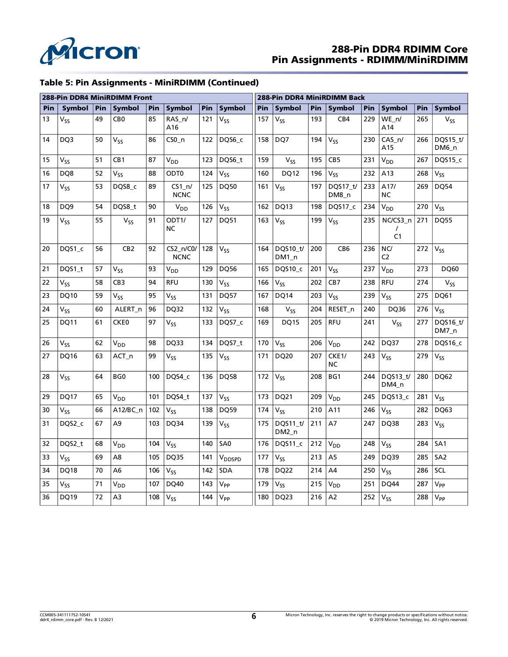

# 288-Pin DDR4 RDIMM Core Pin Assignments - RDIMM/MiniRDIMM

### Table 5: Pin Assignments - MiniRDIMM (Continued)

|     |                 |     | 288-Pin DDR4 MiniRDIMM Front |     |                            |     |                    | 288-Pin DDR4 MiniRDIMM Back |                     |     |                                 |     |                                        |     |                   |
|-----|-----------------|-----|------------------------------|-----|----------------------------|-----|--------------------|-----------------------------|---------------------|-----|---------------------------------|-----|----------------------------------------|-----|-------------------|
| Pin | Symbol          | Pin | <b>Symbol</b>                | Pin | <b>Symbol</b>              | Pin | <b>Symbol</b>      | Pin                         | <b>Symbol</b>       | Pin | <b>Symbol</b>                   | Pin | <b>Symbol</b>                          | Pin | <b>Symbol</b>     |
| 13  | V <sub>SS</sub> | 49  | CB <sub>0</sub>              | 85  | RAS_n/<br>A16              | 121 | V <sub>SS</sub>    | 157                         | $V_{SS}$            | 193 | CB4                             | 229 | $WE_n$<br>A14                          | 265 | $V_{SS}$          |
| 14  | DQ3             | 50  | $V_{SS}$                     | 86  | $CSO_n$                    | 122 | DQS6 c             | 158                         | DQ7                 | 194 | $V_{SS}$                        | 230 | $CAS_n$<br>A15                         | 266 | DQS15 t/<br>DM6_n |
| 15  | $V_{SS}$        | 51  | CB1                          | 87  | V <sub>DD</sub>            | 123 | DQS6_t             | 159                         | $V_{SS}$            | 195 | CB <sub>5</sub>                 | 231 | <b>V<sub>DD</sub></b>                  | 267 | DQS15_c           |
| 16  | DQ8             | 52  | V <sub>SS</sub>              | 88  | ODT <sub>0</sub>           | 124 | $V_{55}$           | 160                         | DQ12                | 196 | $V_{SS}$                        | 232 | A13                                    | 268 | V <sub>SS</sub>   |
| 17  | $V_{SS}$        | 53  | DQS8_c                       | 89  | $CS1_n/$<br><b>NCNC</b>    | 125 | DQ50               | 161                         | $V_{ss}$            | 197 | DQS17_t/<br>DM8_n               | 233 | A17/<br>NC                             | 269 | <b>DQ54</b>       |
| 18  | DQ <sub>9</sub> | 54  | DQS8 t                       | 90  | V <sub>DD</sub>            | 126 | V <sub>SS</sub>    | 162                         | DQ13                | 198 | DQS17 c                         | 234 | <b>V<sub>DD</sub></b>                  | 270 | V <sub>SS</sub>   |
| 19  | $V_{SS}$        | 55  | $V_{SS}$                     | 91  | ODT1/<br>NC                | 127 | <b>DQ51</b>        | 163                         | V <sub>SS</sub>     | 199 | $V_{SS}$                        | 235 | NC/CS3_n<br>$\prime$<br>C <sub>1</sub> | 271 | <b>DQ55</b>       |
| 20  | DQS1_c          | 56  | CB <sub>2</sub>              | 92  | $CS2_n/CO/$<br><b>NCNC</b> | 128 | Vςς                | 164                         | DQS10_t/<br>$DM1_n$ | 200 | CB <sub>6</sub>                 | 236 | NC/<br>C <sub>2</sub>                  | 272 | V <sub>SS</sub>   |
| 21  | DQS1 t          | 57  | V <sub>SS</sub>              | 93  | V <sub>DD</sub>            | 129 | DQ56               | 165                         | DQS10 c             | 201 | $V_{SS}$                        | 237 | <b>V<sub>DD</sub></b>                  | 273 | <b>DQ60</b>       |
| 22  | V <sub>SS</sub> | 58  | CB <sub>3</sub>              | 94  | <b>RFU</b>                 | 130 | V <sub>SS</sub>    | 166                         | $V_{SS}$            | 202 | CB7                             | 238 | <b>RFU</b>                             | 274 | $V_{SS}$          |
| 23  | DQ10            | 59  | V <sub>SS</sub>              | 95  | V <sub>SS</sub>            | 131 | DQ57               | 167                         | <b>DQ14</b>         | 203 | $V_{SS}$                        | 239 | $V_{SS}$                               | 275 | DQ61              |
| 24  | $V_{SS}$        | 60  | ALERT_n                      | 96  | DQ32                       | 132 | V <sub>SS</sub>    | 168                         | $V_{SS}$            | 204 | RESET_n                         | 240 | DQ36                                   | 276 | V <sub>SS</sub>   |
| 25  | DQ11            | 61  | CKE0                         | 97  | $V_{SS}$                   | 133 | DQS7_c             | 169                         | <b>DQ15</b>         | 205 | <b>RFU</b>                      | 241 | $V_{SS}$                               | 277 | DQS16_t/<br>DM7_n |
| 26  | V <sub>SS</sub> | 62  | V <sub>DD</sub>              | 98  | DQ33                       | 134 | DQS7 t             | 170                         | $V_{SS}$            | 206 | <b>V<sub>DD</sub></b>           | 242 | DQ37                                   | 278 | DQS16_c           |
| 27  | DQ16            | 63  | ACT_n                        | 99  | V <sub>SS</sub>            | 135 | Vss                | 171                         | DQ20                | 207 | CKE <sub>1</sub> /<br><b>NC</b> | 243 | $V_{SS}$                               | 279 | $V_{SS}$          |
| 28  | V <sub>SS</sub> | 64  | BG <sub>0</sub>              | 100 | DQS4 c                     | 136 | <b>DQ58</b>        | 172                         | $V_{SS}$            | 208 | BG1                             | 244 | DQS13 t/<br>DM4_n                      | 280 | DQ62              |
| 29  | DQ17            | 65  | $V_{DD}$                     | 101 | DQS4 t                     | 137 | $V_{SS}$           | 173                         | DQ21                | 209 | $\mathsf{V}_{\mathsf{DD}}$      | 245 | DQS13 c                                | 281 | $V_{SS}$          |
| 30  | $V_{SS}$        | 66  | A12/BC n                     | 102 | $V_{SS}$                   | 138 | <b>DQ59</b>        | 174                         | $V_{SS}$            | 210 | A11                             | 246 | $V_{SS}$                               | 282 | DQ63              |
| 31  | DQS2_c          | 67  | A9                           | 103 | <b>DQ34</b>                | 139 | V <sub>SS</sub>    | 175                         | DQS11_t/<br>$DM2_n$ | 211 | A7                              | 247 | DQ38                                   | 283 | $\rm V_{SS}$      |
| 32  | DQS2 t          | 68  | V <sub>DD</sub>              | 104 | $V_{SS}$                   | 140 | SA <sub>0</sub>    | 176                         | DQS11 c             | 212 | $V_{DD}$                        | 248 | $V_{SS}$                               | 284 | SA <sub>1</sub>   |
| 33  | $V_{SS}$        | 69  | A8                           | 105 | <b>DQ35</b>                | 141 | V <sub>DDSPD</sub> | 177                         | $V_{SS}$            | 213 | A <sub>5</sub>                  | 249 | DQ39                                   | 285 | SA <sub>2</sub>   |
| 34  | <b>DQ18</b>     | 70  | A <sub>6</sub>               | 106 | $V_{SS}$                   | 142 | <b>SDA</b>         | 178                         | DQ22                | 214 | A4                              | 250 | $V_{SS}$                               | 286 | SCL               |
| 35  | $V_{SS}$        | 71  | V <sub>DD</sub>              | 107 | DQ40                       | 143 | $V_{PP}$           | 179                         | $V_{SS}$            | 215 | V <sub>DD</sub>                 | 251 | DQ44                                   | 287 | $V_{PP}$          |
| 36  | DQ19            | 72  | A3                           | 108 | $V_{SS}$                   | 144 | V <sub>PP</sub>    | 180                         | DQ23                | 216 | A <sub>2</sub>                  | 252 | $V_{SS}$                               | 288 | V <sub>PP</sub>   |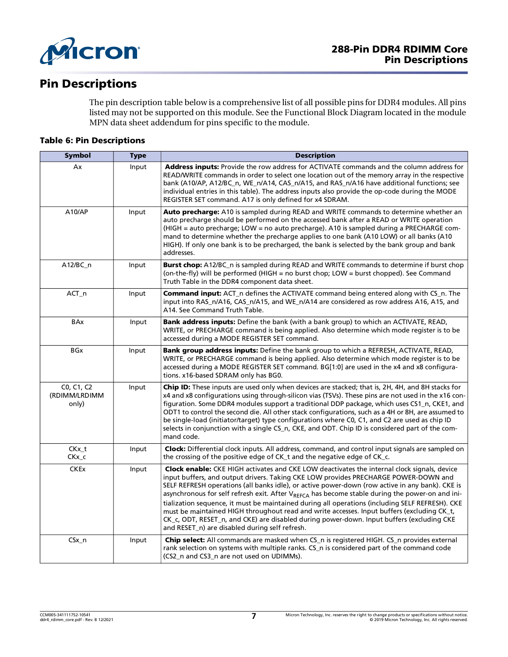

# Pin Descriptions

The pin description table below is a comprehensive list of all possible pins for DDR4 modules. All pins listed may not be supported on this module. See the Functional Block Diagram located in the module MPN data sheet addendum for pins specific to the module.

### Table 6: Pin Descriptions

| <b>Symbol</b>                        | <b>Type</b> | <b>Description</b>                                                                                                                                                                                                                                                                                                                                                                                                                                                                                                                                                                                                                                                                                                                                          |
|--------------------------------------|-------------|-------------------------------------------------------------------------------------------------------------------------------------------------------------------------------------------------------------------------------------------------------------------------------------------------------------------------------------------------------------------------------------------------------------------------------------------------------------------------------------------------------------------------------------------------------------------------------------------------------------------------------------------------------------------------------------------------------------------------------------------------------------|
| Ax                                   | Input       | Address inputs: Provide the row address for ACTIVATE commands and the column address for<br>READ/WRITE commands in order to select one location out of the memory array in the respective<br>bank (A10/AP, A12/BC_n, WE_n/A14, CAS_n/A15, and RAS_n/A16 have additional functions; see<br>individual entries in this table). The address inputs also provide the op-code during the MODE<br>REGISTER SET command. A17 is only defined for x4 SDRAM.                                                                                                                                                                                                                                                                                                         |
| A10/AP                               | Input       | Auto precharge: A10 is sampled during READ and WRITE commands to determine whether an<br>auto precharge should be performed on the accessed bank after a READ or WRITE operation<br>(HIGH = auto precharge; LOW = no auto precharge). A10 is sampled during a PRECHARGE com-<br>mand to determine whether the precharge applies to one bank (A10 LOW) or all banks (A10<br>HIGH). If only one bank is to be precharged, the bank is selected by the bank group and bank<br>addresses.                                                                                                                                                                                                                                                                       |
| A12/BC_n                             | Input       | Burst chop: A12/BC_n is sampled during READ and WRITE commands to determine if burst chop<br>(on-the-fly) will be performed (HIGH = no burst chop; LOW = burst chopped). See Command<br>Truth Table in the DDR4 component data sheet.                                                                                                                                                                                                                                                                                                                                                                                                                                                                                                                       |
| $ACT_n$                              | Input       | <b>Command input:</b> ACT_n defines the ACTIVATE command being entered along with CS_n. The<br>input into RAS_n/A16, CAS_n/A15, and WE_n/A14 are considered as row address A16, A15, and<br>A14. See Command Truth Table.                                                                                                                                                                                                                                                                                                                                                                                                                                                                                                                                   |
| BAx                                  | Input       | Bank address inputs: Define the bank (with a bank group) to which an ACTIVATE, READ,<br>WRITE, or PRECHARGE command is being applied. Also determine which mode register is to be<br>accessed during a MODE REGISTER SET command.                                                                                                                                                                                                                                                                                                                                                                                                                                                                                                                           |
| <b>BGx</b>                           | Input       | Bank group address inputs: Define the bank group to which a REFRESH, ACTIVATE, READ,<br>WRITE, or PRECHARGE command is being applied. Also determine which mode register is to be<br>accessed during a MODE REGISTER SET command. BG[1:0] are used in the x4 and x8 configura-<br>tions. x16-based SDRAM only has BG0.                                                                                                                                                                                                                                                                                                                                                                                                                                      |
| C0, C1, C2<br>(RDIMM/LRDIMM<br>only) | Input       | Chip ID: These inputs are used only when devices are stacked; that is, 2H, 4H, and 8H stacks for<br>x4 and x8 configurations using through-silicon vias (TSVs). These pins are not used in the x16 con-<br>figuration. Some DDR4 modules support a traditional DDP package, which uses CS1_n, CKE1, and<br>ODT1 to control the second die. All other stack configurations, such as a 4H or 8H, are assumed to<br>be single-load (initiator/target) type configurations where C0, C1, and C2 are used as chip ID<br>selects in conjunction with a single CS_n, CKE, and ODT. Chip ID is considered part of the com-<br>mand code.                                                                                                                            |
| $CKx_t$<br>CKx_c                     | Input       | Clock: Differential clock inputs. All address, command, and control input signals are sampled on<br>the crossing of the positive edge of CK_t and the negative edge of CK_c.                                                                                                                                                                                                                                                                                                                                                                                                                                                                                                                                                                                |
| <b>CKEx</b>                          | Input       | <b>Clock enable:</b> CKE HIGH activates and CKE LOW deactivates the internal clock signals, device<br>input buffers, and output drivers. Taking CKE LOW provides PRECHARGE POWER-DOWN and<br>SELF REFRESH operations (all banks idle), or active power-down (row active in any bank). CKE is<br>asynchronous for self refresh exit. After V <sub>REFCA</sub> has become stable during the power-on and ini-<br>tialization sequence, it must be maintained during all operations (including SELF REFRESH). CKE<br>must be maintained HIGH throughout read and write accesses. Input buffers (excluding CK_t,<br>CK_c, ODT, RESET_n, and CKE) are disabled during power-down. Input buffers (excluding CKE<br>and RESET_n) are disabled during self refresh. |
| $CSx_n$                              | Input       | Chip select: All commands are masked when CS_n is registered HIGH. CS_n provides external<br>rank selection on systems with multiple ranks. CS_n is considered part of the command code<br>(CS2_n and CS3_n are not used on UDIMMs).                                                                                                                                                                                                                                                                                                                                                                                                                                                                                                                        |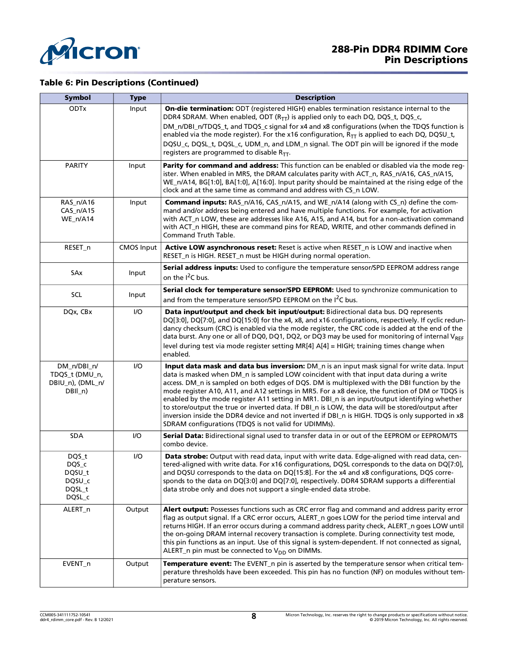

### Table 6: Pin Descriptions (Continued)

| <b>Symbol</b>                                                | <b>Type</b>       | <b>Description</b>                                                                                                                                                                                                                                                                                                                                                                                                                                                                                                                                                                                                                                                                                                                                       |
|--------------------------------------------------------------|-------------------|----------------------------------------------------------------------------------------------------------------------------------------------------------------------------------------------------------------------------------------------------------------------------------------------------------------------------------------------------------------------------------------------------------------------------------------------------------------------------------------------------------------------------------------------------------------------------------------------------------------------------------------------------------------------------------------------------------------------------------------------------------|
| <b>ODTx</b>                                                  | Input             | On-die termination: ODT (registered HIGH) enables termination resistance internal to the<br>DDR4 SDRAM. When enabled, ODT $(R_{TT})$ is applied only to each DQ, DQS_t, DQS_c,<br>DM_n/DBI_n/TDQS_t, and TDQS_c signal for x4 and x8 configurations (when the TDQS function is<br>enabled via the mode register). For the x16 configuration, $R_{TT}$ is applied to each DQ, DQSU_t,<br>DQSU_c, DQSL_t, DQSL_c, UDM_n, and LDM_n signal. The ODT pin will be ignored if the mode<br>registers are programmed to disable $R_{TT}$ .                                                                                                                                                                                                                       |
| <b>PARITY</b>                                                | Input             | Parity for command and address: This function can be enabled or disabled via the mode reg-<br>ister. When enabled in MR5, the DRAM calculates parity with ACT_n, RAS_n/A16, CAS_n/A15,<br>WE_n/A14, BG[1:0], BA[1:0], A[16:0]. Input parity should be maintained at the rising edge of the<br>clock and at the same time as command and address with CS_n LOW.                                                                                                                                                                                                                                                                                                                                                                                           |
| RAS_n/A16<br>CAS_n/A15<br>WE_n/A14                           | Input             | <b>Command inputs:</b> RAS_n/A16, CAS_n/A15, and WE_n/A14 (along with CS_n) define the com-<br>mand and/or address being entered and have multiple functions. For example, for activation<br>with ACT_n LOW, these are addresses like A16, A15, and A14, but for a non-activation command<br>with ACT_n HIGH, these are command pins for READ, WRITE, and other commands defined in<br>Command Truth Table.                                                                                                                                                                                                                                                                                                                                              |
| RESET_n                                                      | <b>CMOS Input</b> | Active LOW asynchronous reset: Reset is active when RESET_n is LOW and inactive when<br>RESET_n is HIGH. RESET_n must be HIGH during normal operation.                                                                                                                                                                                                                                                                                                                                                                                                                                                                                                                                                                                                   |
| SAx                                                          | Input             | Serial address inputs: Used to configure the temperature sensor/SPD EEPROM address range<br>on the I <sup>2</sup> C bus.                                                                                                                                                                                                                                                                                                                                                                                                                                                                                                                                                                                                                                 |
| SCL                                                          | Input             | Serial clock for temperature sensor/SPD EEPROM: Used to synchronize communication to                                                                                                                                                                                                                                                                                                                                                                                                                                                                                                                                                                                                                                                                     |
|                                                              |                   | and from the temperature sensor/SPD EEPROM on the I <sup>2</sup> C bus.                                                                                                                                                                                                                                                                                                                                                                                                                                                                                                                                                                                                                                                                                  |
| DQx, CBx                                                     | I/O               | Data input/output and check bit input/output: Bidirectional data bus. DQ represents<br>DQ[3:0], DQ[7:0], and DQ[15:0] for the x4, x8, and x16 configurations, respectively. If cyclic redun-<br>dancy checksum (CRC) is enabled via the mode register, the CRC code is added at the end of the<br>data burst. Any one or all of DQ0, DQ1, DQ2, or DQ3 may be used for monitoring of internal VREF<br>level during test via mode register setting MR[4] A[4] = HIGH; training times change when<br>enabled.                                                                                                                                                                                                                                               |
| DM_n/DBI_n/<br>TDQS_t (DMU_n,<br>DBIU_n), (DML_n/<br>DBIL_n) | I/O               | Input data mask and data bus inversion: DM_n is an input mask signal for write data. Input<br>data is masked when DM_n is sampled LOW coincident with that input data during a write<br>access. DM_n is sampled on both edges of DQS. DM is multiplexed with the DBI function by the<br>mode register A10, A11, and A12 settings in MR5. For a x8 device, the function of DM or TDQS is<br>enabled by the mode register A11 setting in MR1. DBI_n is an input/output identifying whether<br>to store/output the true or inverted data. If DBI_n is LOW, the data will be stored/output after<br>inversion inside the DDR4 device and not inverted if DBI_n is HIGH. TDQS is only supported in x8<br>SDRAM configurations (TDQS is not valid for UDIMMs). |
| <b>SDA</b>                                                   | I/O               | Serial Data: Bidirectional signal used to transfer data in or out of the EEPROM or EEPROM/TS<br>combo device.                                                                                                                                                                                                                                                                                                                                                                                                                                                                                                                                                                                                                                            |
| DQS_t<br>DQS_c<br>DQSU_t<br>DQSU_c<br>DQSL_t<br>DQSL_c       | I/O               | Data strobe: Output with read data, input with write data. Edge-aligned with read data, cen-<br>tered-aligned with write data. For x16 configurations, DQSL corresponds to the data on DQ[7:0],<br>and DQSU corresponds to the data on DQ[15:8]. For the x4 and x8 configurations, DQS corre-<br>sponds to the data on DQ[3:0] and DQ[7:0], respectively. DDR4 SDRAM supports a differential<br>data strobe only and does not support a single-ended data strobe.                                                                                                                                                                                                                                                                                        |
| ALERT_n                                                      | Output            | Alert output: Possesses functions such as CRC error flag and command and address parity error<br>flag as output signal. If a CRC error occurs, ALERT_n goes LOW for the period time interval and<br>returns HIGH. If an error occurs during a command address parity check, ALERT_n goes LOW until<br>the on-going DRAM internal recovery transaction is complete. During connectivity test mode,<br>this pin functions as an input. Use of this signal is system-dependent. If not connected as signal,<br>ALERT_n pin must be connected to $V_{DD}$ on DIMMs.                                                                                                                                                                                          |
| EVENT_n                                                      | Output            | <b>Temperature event:</b> The EVENT_n pin is asserted by the temperature sensor when critical tem-<br>perature thresholds have been exceeded. This pin has no function (NF) on modules without tem-<br>perature sensors.                                                                                                                                                                                                                                                                                                                                                                                                                                                                                                                                 |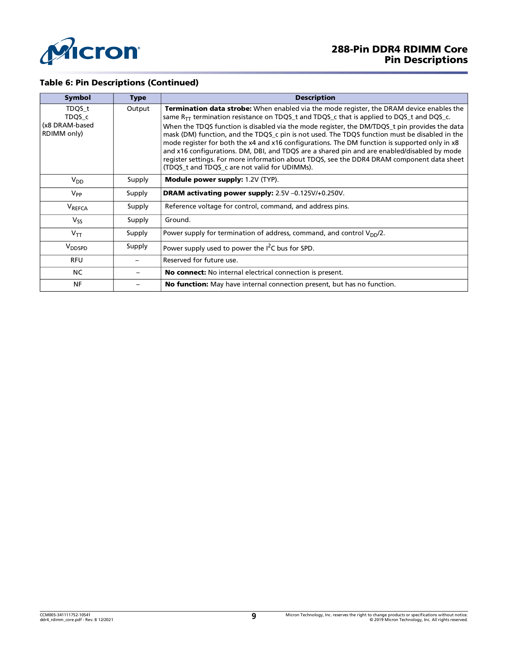

### Table 6: Pin Descriptions (Continued)

| <b>Symbol</b>                                     | <b>Type</b> | <b>Description</b>                                                                                                                                                                                                                                                                                                                                                                                                                                                                                                                                                                                                                                                                                                                         |
|---------------------------------------------------|-------------|--------------------------------------------------------------------------------------------------------------------------------------------------------------------------------------------------------------------------------------------------------------------------------------------------------------------------------------------------------------------------------------------------------------------------------------------------------------------------------------------------------------------------------------------------------------------------------------------------------------------------------------------------------------------------------------------------------------------------------------------|
| TDQS_t<br>TDQS c<br>(x8 DRAM-based<br>RDIMM only) | Output      | Termination data strobe: When enabled via the mode register, the DRAM device enables the<br>same $R_{TT}$ termination resistance on TDQS_t and TDQS_c that is applied to DQS_t and DQS_c.<br>When the TDQS function is disabled via the mode register, the DM/TDQS_t pin provides the data<br>mask (DM) function, and the TDQS_c pin is not used. The TDQS function must be disabled in the<br>mode register for both the x4 and x16 configurations. The DM function is supported only in x8<br>and x16 configurations. DM, DBI, and TDQS are a shared pin and are enabled/disabled by mode<br>register settings. For more information about TDQS, see the DDR4 DRAM component data sheet<br>(TDQS t and TDQS c are not valid for UDIMMs). |
| $V_{DD}$                                          | Supply      | <b>Module power supply: 1.2V (TYP).</b>                                                                                                                                                                                                                                                                                                                                                                                                                                                                                                                                                                                                                                                                                                    |
| $V_{PP}$                                          | Supply      | <b>DRAM activating power supply:</b> 2.5V -0.125V/+0.250V.                                                                                                                                                                                                                                                                                                                                                                                                                                                                                                                                                                                                                                                                                 |
| <b>VREFCA</b>                                     | Supply      | Reference voltage for control, command, and address pins.                                                                                                                                                                                                                                                                                                                                                                                                                                                                                                                                                                                                                                                                                  |
| $V_{ss}$                                          | Supply      | Ground.                                                                                                                                                                                                                                                                                                                                                                                                                                                                                                                                                                                                                                                                                                                                    |
| $V_{TT}$                                          | Supply      | Power supply for termination of address, command, and control $V_{DD}/2$ .                                                                                                                                                                                                                                                                                                                                                                                                                                                                                                                                                                                                                                                                 |
| V <sub>DDSPD</sub>                                | Supply      | Power supply used to power the I <sup>2</sup> C bus for SPD.                                                                                                                                                                                                                                                                                                                                                                                                                                                                                                                                                                                                                                                                               |
| <b>RFU</b>                                        |             | Reserved for future use.                                                                                                                                                                                                                                                                                                                                                                                                                                                                                                                                                                                                                                                                                                                   |
| NC.                                               |             | <b>No connect:</b> No internal electrical connection is present.                                                                                                                                                                                                                                                                                                                                                                                                                                                                                                                                                                                                                                                                           |
| <b>NF</b>                                         |             | No function: May have internal connection present, but has no function.                                                                                                                                                                                                                                                                                                                                                                                                                                                                                                                                                                                                                                                                    |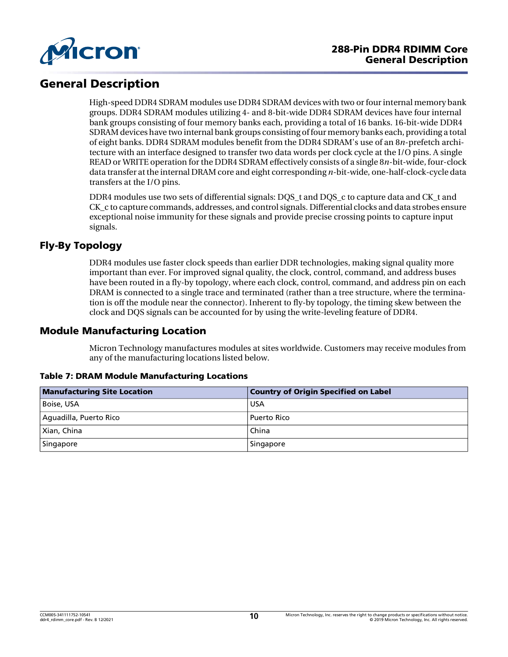

# General Description

High-speed DDR4 SDRAM modules use DDR4 SDRAM devices with two or four internal memory bank groups. DDR4 SDRAM modules utilizing 4- and 8-bit-wide DDR4 SDRAM devices have four internal bank groups consisting of four memory banks each, providing a total of 16 banks. 16-bit-wide DDR4 SDRAM devices have two internal bank groups consisting of four memory banks each, providing a total of eight banks. DDR4 SDRAM modules benefit from the DDR4 SDRAM's use of an 8*n*-prefetch architecture with an interface designed to transfer two data words per clock cycle at the I/O pins. A single READ or WRITE operation forthe DDR4 SDRAM effectively consists of a single 8*n*-bit-wide, four-clock data transfer atthe internal DRAM core and eight corresponding *n*-bit-wide, one-half-clock-cycle data transfers at the I/O pins.

DDR4 modules use two sets of differential signals: DOS\_t and DOS\_c to capture data and CK\_t and CK c to capture commands, addresses, and control signals. Differential clocks and data strobes ensure exceptional noise immunity for these signals and provide precise crossing points to capture input signals.

# Fly-By Topology

DDR4 modules use faster clock speeds than earlier DDR technologies, making signal quality more important than ever. For improved signal quality, the clock, control, command, and address buses have been routed in a fly-by topology, where each clock, control, command, and address pin on each DRAM is connected to a single trace and terminated (rather than a tree structure, where the termination is off the module near the connector). Inherent to fly-by topology, the timing skew between the clock and DQS signals can be accounted for by using the write-leveling feature of DDR4.

# Module Manufacturing Location

Micron Technology manufactures modules at sites worldwide. Customers may receive modules from any of the manufacturing locations listed below.

| <b>Manufacturing Site Location</b> | <b>Country of Origin Specified on Label</b> |
|------------------------------------|---------------------------------------------|
| Boise, USA                         | l USA                                       |
| Aguadilla, Puerto Rico             | Puerto Rico                                 |
| Xian, China                        | l China                                     |
| Singapore                          | Singapore                                   |

### Table 7: DRAM Module Manufacturing Locations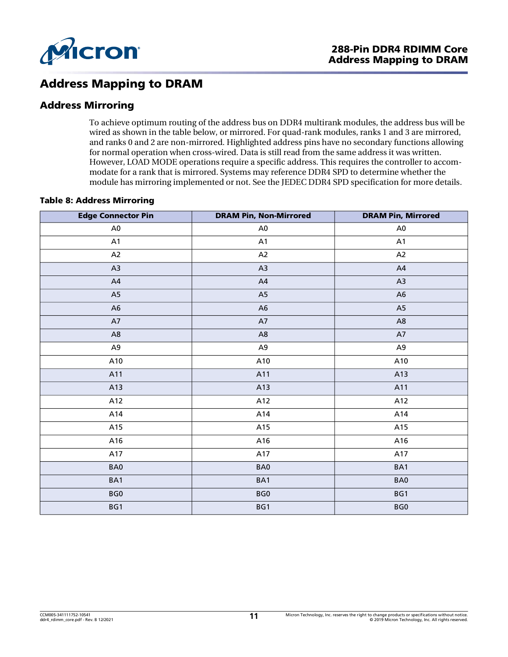

# Address Mapping to DRAM

# Address Mirroring

To achieve optimum routing of the address bus on DDR4 multirank modules, the address bus will be wired as shown in the table below, or mirrored. For quad-rank modules, ranks 1 and 3 are mirrored, and ranks 0 and 2 are non-mirrored. Highlighted address pins have no secondary functions allowing for normal operation when cross-wired. Data is still read from the same address it was written. However, LOAD MODE operations require a specific address. This requires the controller to accommodate for a rank that is mirrored. Systems may reference DDR4 SPD to determine whether the module has mirroring implemented or not. See the JEDEC DDR4 SPD specification for more details.

### Table 8: Address Mirroring

| <b>Edge Connector Pin</b> | <b>DRAM Pin, Non-Mirrored</b> | <b>DRAM Pin, Mirrored</b> |
|---------------------------|-------------------------------|---------------------------|
| A <sub>0</sub>            | A <sub>0</sub>                | A <sub>0</sub>            |
| A1                        | A1                            | A1                        |
| A2                        | A2                            | A2                        |
| A3                        | A <sub>3</sub>                | A4                        |
| A4                        | A4                            | A3                        |
| A5                        | A <sub>5</sub>                | A <sub>6</sub>            |
| A <sub>6</sub>            | A6                            | A <sub>5</sub>            |
| A7                        | A7                            | A <sub>8</sub>            |
| $\mathsf{A}8$             | A <sub>8</sub>                | A7                        |
| A <sub>9</sub>            | A <sub>9</sub>                | A <sub>9</sub>            |
| A10                       | A10                           | A10                       |
| A11                       | A11                           | A13                       |
| A13                       | A13                           | A11                       |
| A12                       | A12                           | A12                       |
| A14                       | A14                           | A14                       |
| A15                       | A15                           | A15                       |
| A16                       | A16                           | A16                       |
| A17                       | A17                           | A17                       |
| BA0                       | BA0                           | BA1                       |
| BA1                       | BA1                           | BA0                       |
| BG0                       | BG0                           | BG1                       |
| BG1                       | BG1                           | BG0                       |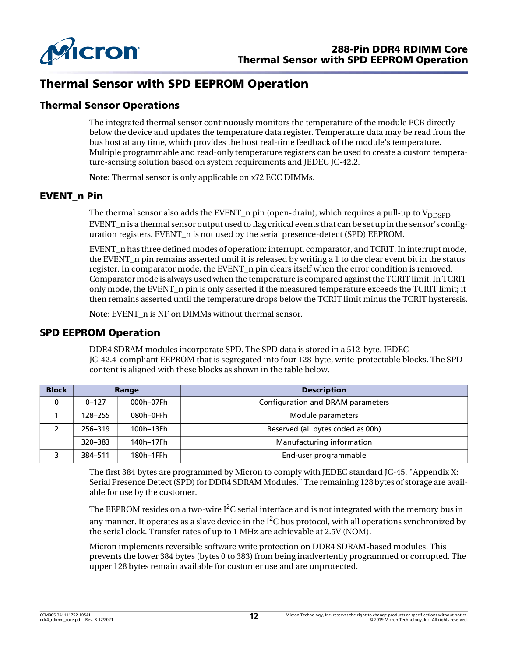

# Thermal Sensor with SPD EEPROM Operation

# Thermal Sensor Operations

The integrated thermal sensor continuously monitors the temperature of the module PCB directly below the device and updates the temperature data register. Temperature data may be read from the bus host at any time, which provides the host real-time feedback of the module's temperature. Multiple programmable and read-only temperature registers can be used to create a custom temperature-sensing solution based on system requirements and JEDEC JC-42.2.

**Note**: Thermal sensor is only applicable on x72 ECC DIMMs.

### EVENT\_n Pin

The thermal sensor also adds the EVENT\_n pin (open-drain), which requires a pull-up to  $V_{\text{DDSPD}}$ . EVENT n is a thermal sensor output used to flag critical events that can be set up in the sensor's configuration registers. EVENT\_n is not used by the serial presence-detect (SPD) EEPROM.

EVENT n has three defined modes of operation: interrupt, comparator, and TCRIT. In interrupt mode, the EVENT\_n pin remains asserted until it is released by writing a 1 to the clear event bit in the status register. In comparator mode, the EVENT\_n pin clears itself when the error condition is removed. Comparator mode is always used when the temperature is compared againstthe TCRIT limit.In TCRIT only mode, the EVENT\_n pin is only asserted if the measured temperature exceeds the TCRIT limit; it then remains asserted until the temperature drops below the TCRIT limit minus the TCRIT hysteresis.

**Note**: EVENT\_n is NF on DIMMs without thermal sensor.

### SPD EEPROM Operation

DDR4 SDRAM modules incorporate SPD. The SPD data is stored in a 512-byte, JEDEC JC-42.4-compliant EEPROM that is segregated into four 128-byte, write-protectable blocks. The SPD content is aligned with these blocks as shown in the table below.

| <b>Block</b> | Range                |           | <b>Description</b>                |  |  |
|--------------|----------------------|-----------|-----------------------------------|--|--|
| 0            | $0 - 127$            | 000h-07Fh | Configuration and DRAM parameters |  |  |
|              | 080h-0FFh<br>128-255 |           | Module parameters                 |  |  |
|              | 256-319              | 100h-13Fh | Reserved (all bytes coded as 00h) |  |  |
|              | 320-383              | 140h-17Fh | Manufacturing information         |  |  |
|              | 384-511              | 180h-1FFh | End-user programmable             |  |  |

The first 384 bytes are programmed by Micron to comply with JEDEC standard JC-45, "Appendix X: Serial Presence Detect (SPD) for DDR4 SDRAM Modules." The remaining 128 bytes of storage are available for use by the customer.

The EEPROM resides on a two-wire I $^2$ C serial interface and is not integrated with the memory bus in any manner. It operates as a slave device in the I $^2\mathrm{C}$  bus protocol, with all operations synchronized by the serial clock. Transfer rates of up to 1 MHz are achievable at 2.5V (NOM).

Micron implements reversible software write protection on DDR4 SDRAM-based modules. This prevents the lower 384 bytes (bytes 0 to 383) from being inadvertently programmed or corrupted. The upper 128 bytes remain available for customer use and are unprotected.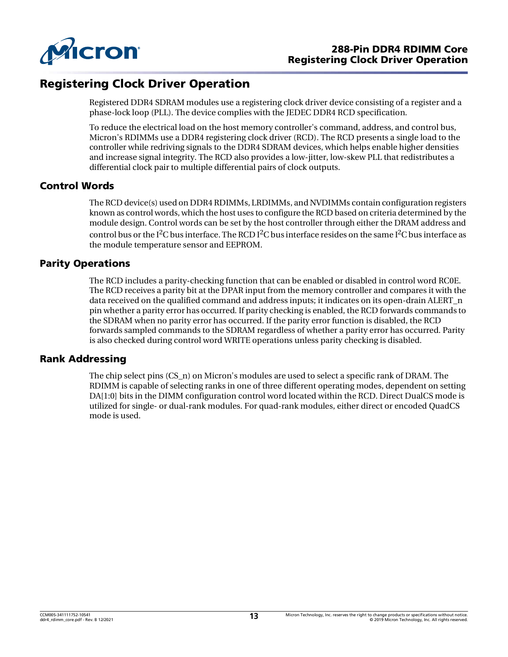

# Registering Clock Driver Operation

Registered DDR4 SDRAM modules use a registering clock driver device consisting of a register and a phase-lock loop (PLL). The device complies with the JEDEC DDR4 RCD specification.

To reduce the electrical load on the host memory controller's command, address, and control bus, Micron's RDIMMs use a DDR4 registering clock driver (RCD). The RCD presents a single load to the controller while redriving signals to the DDR4 SDRAM devices, which helps enable higher densities and increase signal integrity. The RCD also provides a low-jitter, low-skew PLL that redistributes a differential clock pair to multiple differential pairs of clock outputs.

# Control Words

The RCD device(s) used on DDR4 RDIMMs, LRDIMMs, and NVDIMMs contain configuration registers known as control words, which the host uses to configure the RCD based on criteria determined by the module design. Control words can be set by the host controller through either the DRAM address and control bus or the I<sup>2</sup>C bus interface. The RCD I<sup>2</sup>C bus interface resides on the same I<sup>2</sup>C bus interface as the module temperature sensor and EEPROM.

# Parity Operations

The RCD includes a parity-checking function that can be enabled or disabled in control word RC0E. The RCD receives a parity bit at the DPAR input from the memory controller and compares it with the data received on the qualified command and address inputs; it indicates on its open-drain ALERT\_n pin whether a parity error has occurred. If parity checking is enabled, the RCD forwards commands to the SDRAM when no parity error has occurred. If the parity error function is disabled, the RCD forwards sampled commands to the SDRAM regardless of whether a parity error has occurred. Parity is also checked during control word WRITE operations unless parity checking is disabled.

### Rank Addressing

The chip select pins (CS\_n) on Micron's modules are used to select a specific rank of DRAM. The RDIMM is capable of selecting ranks in one of three different operating modes, dependent on setting DA[1:0] bits in the DIMM configuration control word located within the RCD. Direct DualCS mode is utilized for single- or dual-rank modules. For quad-rank modules, either direct or encoded QuadCS mode is used.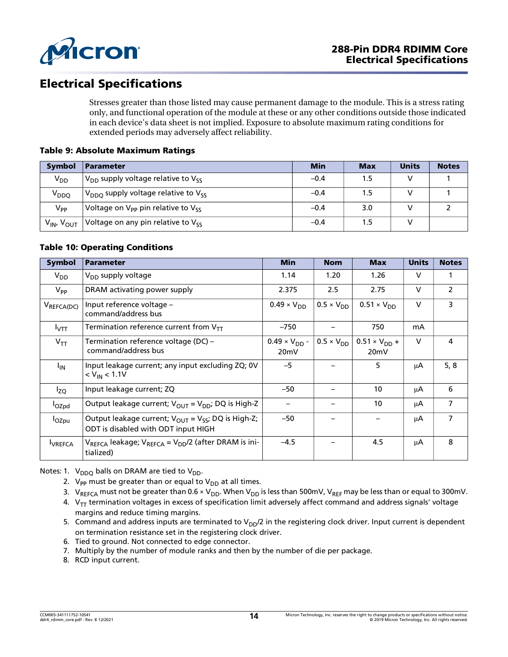

# Electrical Specifications

Stresses greater than those listed may cause permanent damage to the module. This is a stress rating only, and functional operation of the module at these or any other conditions outside those indicated in each device's data sheet is not implied. Exposure to absolute maximum rating conditions for extended periods may adversely affect reliability.

### Table 9: Absolute Maximum Ratings

| <b>Symbol</b>                      | <b>Parameter</b>                               | <b>Min</b> | <b>Max</b> | <b>Units</b> | <b>Notes</b> |
|------------------------------------|------------------------------------------------|------------|------------|--------------|--------------|
| $V_{DD}$                           | $V_{DD}$ supply voltage relative to $V_{SS}$   | $-0.4$     | 1.5        |              |              |
| V <sub>DDQ</sub>                   | $V_{DDO}$ supply voltage relative to $V_{SS}$  | $-0.4$     |            |              |              |
| $V_{PP}$                           | Voltage on $V_{PP}$ pin relative to $V_{SS}$   | $-0.4$     | 3.0        |              |              |
| V <sub>IN</sub> , V <sub>OUT</sub> | Voltage on any pin relative to V <sub>SS</sub> | $-0.4$     | 1.5        |              |              |

### Table 10: Operating Conditions

| <b>Symbol</b>     | <b>Parameter</b>                                                                                       | <b>Min</b>                     | <b>Nom</b>          | <b>Max</b>                     | <b>Units</b> | <b>Notes</b>   |
|-------------------|--------------------------------------------------------------------------------------------------------|--------------------------------|---------------------|--------------------------------|--------------|----------------|
| $V_{DD}$          | V <sub>DD</sub> supply voltage                                                                         | 1.14                           | 1.20                | 1.26                           | $\mathsf{V}$ |                |
| $V_{PP}$          | DRAM activating power supply                                                                           | 2.375                          | 2.5                 | 2.75                           | $\mathsf{V}$ | $\overline{2}$ |
| VREFCA(DC)        | Input reference voltage –<br>command/address bus                                                       | $0.49 \times V_{DD}$           | $0.5 \times V_{DD}$ | $0.51 \times V_{DD}$           | $\vee$       | 3              |
| $I_{\text{VTT}}$  | Termination reference current from $\mathsf{V}_{\textsf{TT}}$                                          | $-750$                         |                     | 750                            | mA           |                |
| $V_{TT}$          | Termination reference voltage (DC) –<br>command/address bus                                            | $0.49 \times V_{DD}$ -<br>20mV | $0.5 \times V_{DD}$ | $0.51 \times V_{DD} +$<br>20mV | $\vee$       | 4              |
| <sup>I</sup> IN   | Input leakage current; any input excluding ZQ; 0V<br>$< V_{\text{IN}} < 1.1 V$                         | $-5$                           |                     | 5                              | μA           | 5, 8           |
| $I_{ZQ}$          | Input leakage current; ZQ                                                                              | $-50$                          |                     | 10                             | μA           | 6              |
| l <sub>OZpd</sub> | Output leakage current; $V_{\text{OUT}} = V_{\text{DD}}$ ; DQ is High-Z                                |                                |                     | 10                             | μA           | 7              |
| l <sub>OZpu</sub> | Output leakage current; $V_{OUT} = V_{SS}$ ; DQ is High-Z;<br>ODT is disabled with ODT input HIGH      | $-50$                          |                     |                                | μA           | $\overline{7}$ |
| <b>I</b> VREFCA   | V <sub>REFCA</sub> leakage; V <sub>REFCA</sub> = V <sub>DD</sub> /2 (after DRAM is ini-  <br>tialized) | $-4.5$                         |                     | 4.5                            | μA           | 8              |

<span id="page-13-2"></span><span id="page-13-1"></span><span id="page-13-0"></span>Notes: 1.  $V_{DDO}$  balls on DRAM are tied to  $V_{DD}$ .

- 2.  $V_{PP}$  must be greater than or equal to  $V_{DD}$  at all times.
- 3. V<sub>REFCA</sub> must not be greater than 0.6 × V<sub>DD</sub>. When V<sub>DD</sub> is less than 500mV, V<sub>REF</sub> may be less than or equal to 300mV.
- <span id="page-13-3"></span>4.  $V_{TT}$  termination voltages in excess of specification limit adversely affect command and address signals' voltage margins and reduce timing margins.
- <span id="page-13-4"></span>5. Command and address inputs are terminated to  $V_{DD}/2$  in the registering clock driver. Input current is dependent on termination resistance set in the registering clock driver.
- <span id="page-13-6"></span>6. Tied to ground. Not connected to edge connector.
- <span id="page-13-7"></span>7. Multiply by the number of module ranks and then by the number of die per package.
- <span id="page-13-5"></span>8. RCD input current.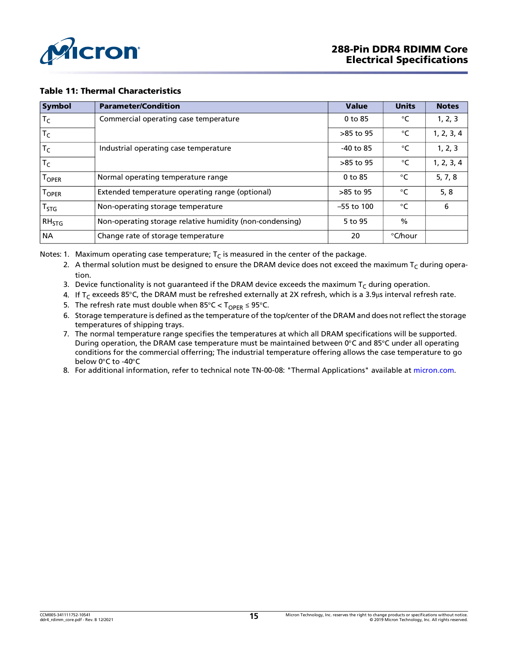

#### Table 11: Thermal Characteristics

| <b>Symbol</b> | <b>Parameter/Condition</b>                               | <b>Value</b> | <b>Units</b>    | <b>Notes</b> |
|---------------|----------------------------------------------------------|--------------|-----------------|--------------|
| $T_C$         | Commercial operating case temperature                    | 0 to 85      | °C              | 1, 2, 3      |
| $T_C$         |                                                          | $>85$ to 95  | °C              | 1, 2, 3, 4   |
| $T_C$         | Industrial operating case temperature                    | $-40$ to 85  | $\rm ^{\circ}C$ | 1, 2, 3      |
| $T_C$         |                                                          | $>85$ to 95  | °C              | 1, 2, 3, 4   |
| <b>TOPER</b>  | Normal operating temperature range                       | 0 to 85      | $\rm ^{\circ}C$ | 5, 7, 8      |
| <b>TOPER</b>  | Extended temperature operating range (optional)          | >85 to 95    | °C              | 5, 8         |
| $T_{STG}$     | Non-operating storage temperature                        | $-55$ to 100 | $\rm ^{\circ}C$ | 6            |
| $RH_{STG}$    | Non-operating storage relative humidity (non-condensing) | 5 to 95      | $\frac{0}{0}$   |              |
| <b>NA</b>     | Change rate of storage temperature                       | 20           | °C/hour         |              |

<span id="page-14-1"></span><span id="page-14-0"></span>Notes: 1. Maximum operating case temperature;  $T<sub>C</sub>$  is measured in the center of the package.

- 2. A thermal solution must be designed to ensure the DRAM device does not exceed the maximum  $T_C$  during operation.
- <span id="page-14-2"></span>3. Device functionality is not guaranteed if the DRAM device exceeds the maximum  $T_C$  during operation.
- <span id="page-14-3"></span>4. If T<sub>C</sub> exceeds 85°C, the DRAM must be refreshed externally at 2X refresh, which is a 3.9µs interval refresh rate.
- <span id="page-14-4"></span>5. The refresh rate must double when  $85^{\circ}$ C < T<sub>OPER</sub>  $\leq$  95°C.
- <span id="page-14-7"></span>6. Storage temperature is defined as the temperature of the top/center of the DRAM and does not reflect the storage temperatures of shipping trays.
- <span id="page-14-5"></span>7. The normal temperature range specifies the temperatures at which all DRAM specifications will be supported. During operation, the DRAM case temperature must be maintained between 0°C and 85°C under all operating conditions for the commercial offerring; The industrial temperature offering allows the case temperature to go below 0°C to -40°C
- <span id="page-14-6"></span>8. For additional information, refer to technical note TN-00-08: "Thermal Applications" available at [micron.com.](http://www.micron.com)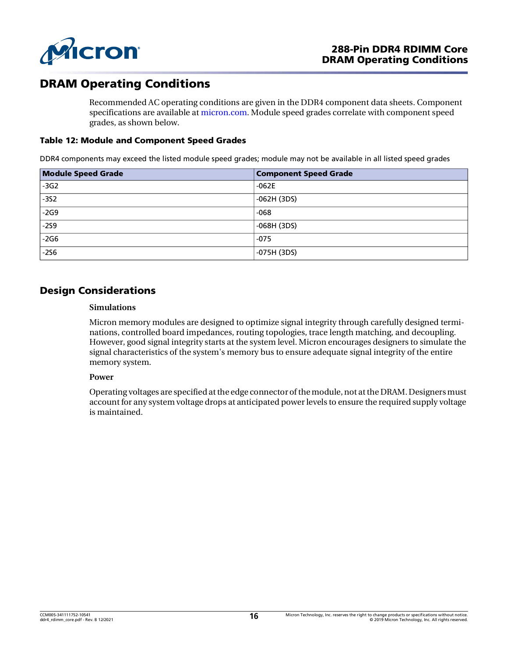

# DRAM Operating Conditions

Recommended AC operating conditions are given in the DDR4 component data sheets. Component specifications are available at [micron.com.](http://www.micron.com) Module speed grades correlate with component speed grades, as shown below.

#### Table 12: Module and Component Speed Grades

DDR4 components may exceed the listed module speed grades; module may not be available in all listed speed grades

| <b>Module Speed Grade</b> | <b>Component Speed Grade</b> |
|---------------------------|------------------------------|
| $-3G2$                    | $-062E$                      |
| $-352$                    | $-062H (3DS)$                |
| $-2G9$                    | $-068$                       |
| $-259$                    | -068H (3DS)                  |
| $-2G6$                    | $-075$                       |
| $-256$                    | $-075H(3DS)$                 |

# Design Considerations

### **Simulations**

Micron memory modules are designed to optimize signal integrity through carefully designed terminations, controlled board impedances, routing topologies, trace length matching, and decoupling. However, good signal integrity starts at the system level. Micron encourages designers to simulate the signal characteristics of the system's memory bus to ensure adequate signal integrity of the entire memory system.

#### **Power**

Operating voltages are specified at the edge connector of the module, not at the DRAM. Designers must account for any system voltage drops at anticipated powerlevels to ensure the required supply voltage is maintained.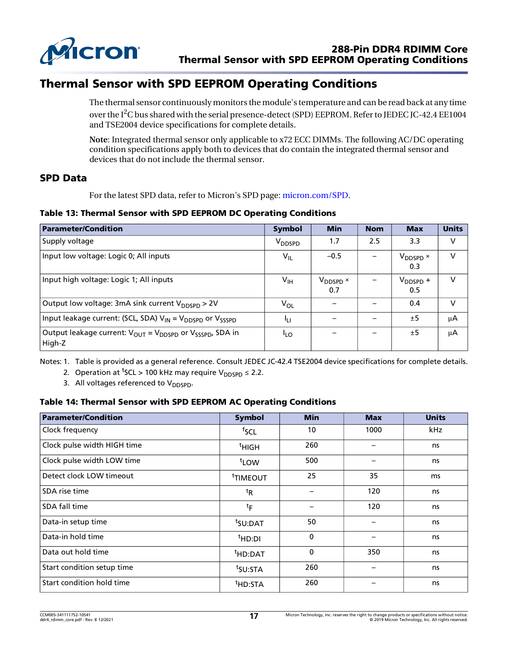

# Thermal Sensor with SPD EEPROM Operating Conditions

The thermal sensor continuously monitors the module's temperature and can be read back at any time over the I $^2\mathrm{C}$  bus shared with the serial presence-detect (SPD) EEPROM. Refer to JEDEC JC-42.4 EE1004 and TSE2004 device specifications for complete details.

**Note**: Integrated thermal sensor only applicable to x72 ECC DIMMs. The following AC/DC operating condition specifications apply both to devices that do contain the integrated thermal sensor and devices that do not include the thermal sensor.

### SPD Data

For the latest SPD data, refer to Micron's SPD page: [micron.com/SPD.](http://www.micron.com/spd)

#### Table 13: Thermal Sensor with SPD EEPROM DC Operating Conditions

| <b>Parameter/Condition</b>                                                                             | <b>Symbol</b>      | <b>Min</b>                  | <b>Nom</b> | <b>Max</b>                       | <b>Units</b> |
|--------------------------------------------------------------------------------------------------------|--------------------|-----------------------------|------------|----------------------------------|--------------|
| Supply voltage                                                                                         | V <sub>DDSPD</sub> | 1.7                         | 2.5        | 3.3                              | V            |
| Input low voltage: Logic 0; All inputs                                                                 | $V_{IL}$           | $-0.5$                      |            | $V_{\text{DDSPD}} \times$<br>0.3 | $\vee$       |
| Input high voltage: Logic 1; All inputs                                                                | $V_{\text{IH}}$    | V <sub>DDSPD</sub> ×<br>0.7 |            | $V_{\text{DDSPD}} +$<br>0.5      | v            |
| Output low voltage: 3mA sink current $V_{\text{DNSPD}} > 2V$                                           | $V_{OL}$           |                             |            | 0.4                              | v            |
| Input leakage current: (SCL, SDA) $V_{IN} = V_{DDSPD}$ or $V_{SSSPD}$                                  | ŀц                 |                             |            | ±5                               | μA           |
| Output leakage current: V <sub>OUT</sub> = V <sub>DDSPD</sub> or V <sub>SSSPD</sub> , SDA in<br>High-Z | <sup>I</sup> LO    |                             | —          | ±5                               | μA           |

Notes: 1. Table is provided as a general reference. Consult JEDEC JC-42.4 TSE2004 device specifications for complete details.

2. Operation at <sup>t</sup>SCL > 100 kHz may require  $V_{\text{DDSPD}} \leq 2.2$ .

3. All voltages referenced to  $V_{DDSPD}$ .

### Table 14: Thermal Sensor with SPD EEPROM AC Operating Conditions

| <b>Parameter/Condition</b>  | Symbol               | <b>Min</b>  | <b>Max</b> | <b>Units</b> |
|-----------------------------|----------------------|-------------|------------|--------------|
| Clock frequency             | fscl                 | 10          | 1000       | kHz          |
| Clock pulse width HIGH time | $tHIGH$              | 260         |            | ns           |
| Clock pulse width LOW time  | t <sub>LOW</sub>     | 500         |            | ns           |
| Detect clock LOW timeout    | <sup>t</sup> TIMEOUT | 25          | 35         | ms           |
| SDA rise time               | ${}^{\text{t}}$ R    |             | 120        | ns           |
| SDA fall time               | $t_{\mathsf{F}}$     |             | 120        | ns           |
| Data-in setup time          | <sup>t</sup> SU:DAT  | 50          | —          | ns           |
| Data-in hold time           | <sup>t</sup> HD:DI   | 0           |            | ns           |
| Data out hold time          | <sup>t</sup> HD:DAT  | $\mathbf 0$ | 350        | ns           |
| Start condition setup time  | <sup>t</sup> SU:STA  | 260         | —          | ns           |
| Start condition hold time   | <sup>t</sup> HD:STA  | 260         |            | ns           |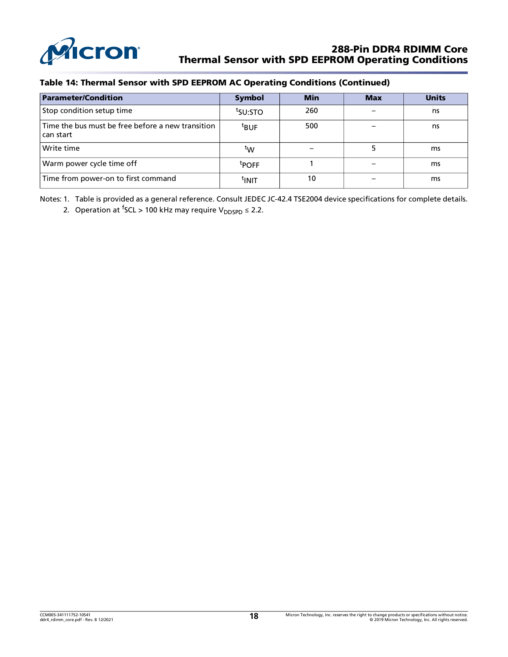

#### Table 14: Thermal Sensor with SPD EEPROM AC Operating Conditions (Continued)

| <b>Parameter/Condition</b>                                     | <b>Symbol</b>       | <b>Min</b> | <b>Max</b> | <b>Units</b> |
|----------------------------------------------------------------|---------------------|------------|------------|--------------|
| Stop condition setup time                                      | <sup>t</sup> SU:STO | 260        |            | ns           |
| Time the bus must be free before a new transition<br>can start | $t$ BUF             | 500        |            | ns           |
| Write time                                                     | $^{\rm t}$ W        |            |            | ms           |
| Warm power cycle time off                                      | <sup>t</sup> POFF   |            |            | ms           |
| Time from power-on to first command                            | tınıt               | 10         |            | ms           |

Notes: 1. Table is provided as a general reference. Consult JEDEC JC-42.4 TSE2004 device specifications for complete details.

2. Operation at <sup>f</sup>SCL > 100 kHz may require V<sub>DDSPD</sub> ≤ 2.2.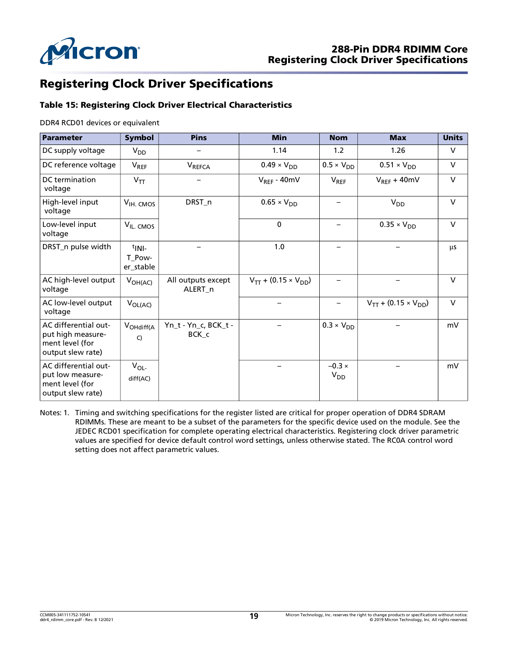

# Registering Clock Driver Specifications

### Table 15: Registering Clock Driver Electrical Characteristics

DDR4 RCD01 devices or equivalent

| <b>Parameter</b>                                                                  | <b>Symbol</b>                              | <b>Pins</b>                              | <b>Min</b>                    | <b>Nom</b>                | <b>Max</b>                    | <b>Units</b> |
|-----------------------------------------------------------------------------------|--------------------------------------------|------------------------------------------|-------------------------------|---------------------------|-------------------------------|--------------|
| DC supply voltage                                                                 | $V_{DD}$                                   |                                          | 1.14                          | 1.2                       | 1.26                          | V            |
| DC reference voltage                                                              | $V_{REF}$                                  | V <sub>REFCA</sub>                       | $0.49 \times V_{DD}$          | $0.5 \times V_{DD}$       | $0.51 \times V_{DD}$          | $\vee$       |
| DC termination<br>voltage                                                         | $V_{TT}$                                   |                                          | $V_{REF} - 40mV$              | $V_{REF}$                 | $V_{REF} + 40mV$              | $\vee$       |
| High-level input<br>voltage                                                       | V <sub>IH. CMOS</sub>                      | DRST_n                                   | $0.65 \times V_{DD}$          |                           | $V_{DD}$                      | $\vee$       |
| Low-level input<br>voltage                                                        | V <sub>IL</sub> CMOS                       |                                          | $\mathbf 0$                   |                           | $0.35 \times V_{DD}$          | $\vee$       |
| DRST_n pulse width                                                                | $t$ <sub>INI-</sub><br>T_Pow-<br>er_stable |                                          | 1.0                           |                           |                               | μs           |
| AC high-level output<br>voltage                                                   | $V_{OH(AC)}$                               | All outputs except<br>ALERT <sub>n</sub> | $V_{TT}$ + (0.15 × $V_{DD}$ ) |                           |                               | $\vee$       |
| AC low-level output<br>voltage                                                    | $V_{OL(AC)}$                               |                                          |                               | $\qquad \qquad$           | $V_{TT}$ + (0.15 × $V_{DD}$ ) | $\vee$       |
| AC differential out-<br>put high measure-<br>ment level (for<br>output slew rate) | V <sub>OHdiff(A</sub><br>C)                | Yn_t - Yn_c, BCK_t -<br>BCK c            |                               | $0.3 \times V_{DD}$       |                               | mV           |
| AC differential out-<br>put low measure-<br>ment level (for<br>output slew rate)  | $V_{OL}$<br>diff(AC)                       |                                          |                               | $-0.3 \times$<br>$V_{DD}$ |                               | mV           |

Notes: 1. Timing and switching specifications for the register listed are critical for proper operation of DDR4 SDRAM RDIMMs. These are meant to be a subset of the parameters for the specific device used on the module. See the JEDEC RCD01 specification for complete operating electrical characteristics. Registering clock driver parametric values are specified for device default control word settings, unless otherwise stated. The RC0A control word setting does not affect parametric values.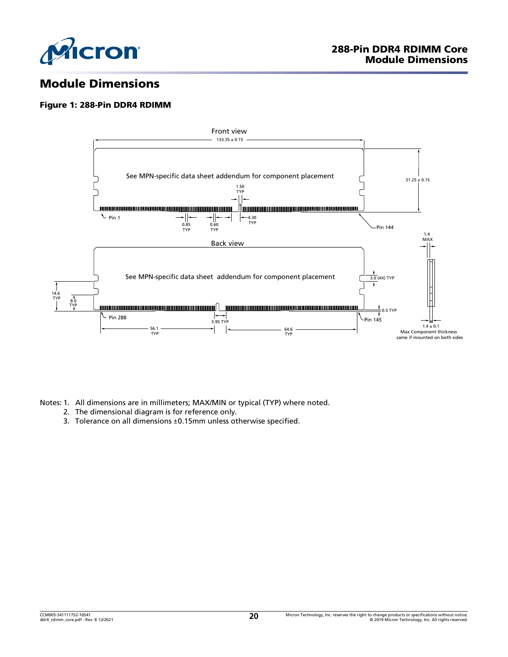

# Module Dimensions

#### Figure 1: 288-Pin DDR4 RDIMM



Notes: 1. All dimensions are in millimeters; MAX/MIN or typical (TYP) where noted.

- 2. The dimensional diagram is for reference only.
- 3. Tolerance on all dimensions ±0.15mm unless otherwise specified.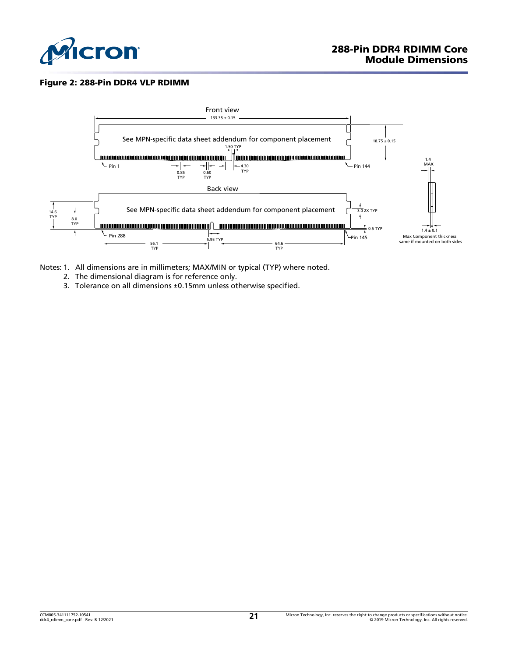

### Figure 2: 288-Pin DDR4 VLP RDIMM



- Notes: 1. All dimensions are in millimeters; MAX/MIN or typical (TYP) where noted.
	- 2. The dimensional diagram is for reference only.
	- 3. Tolerance on all dimensions ±0.15mm unless otherwise specified.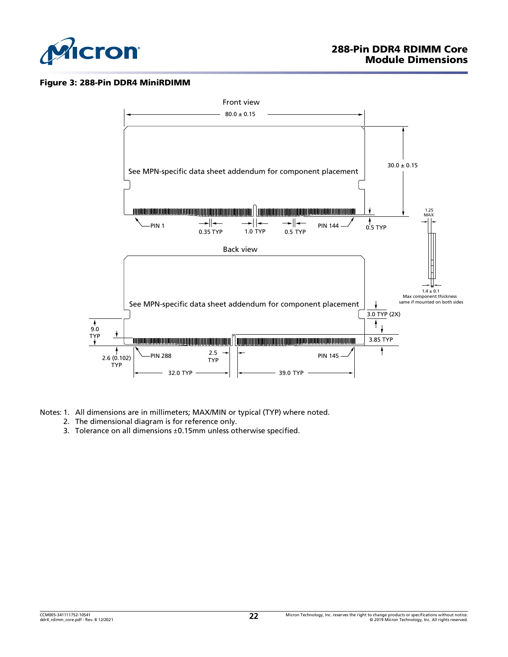

### Figure 3: 288-Pin DDR4 MiniRDIMM



Notes: 1. All dimensions are in millimeters; MAX/MIN or typical (TYP) where noted.

- 2. The dimensional diagram is for reference only.
- 3. Tolerance on all dimensions ±0.15mm unless otherwise specified.